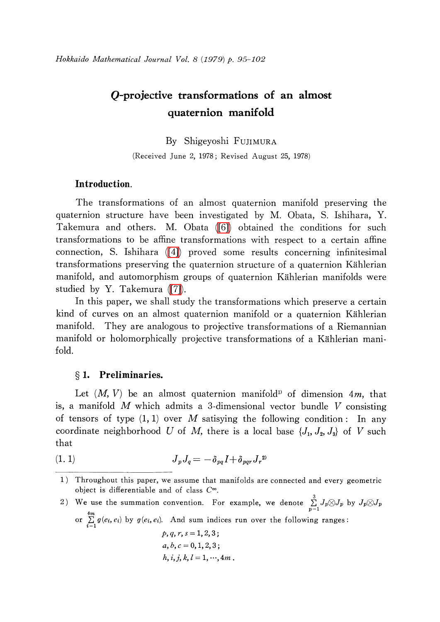# Q-projective transformations of an almost quaternion manifold

## By Shigeyoshi FUJIMURA

(Received June 2, 1978; Revised August 25, 1978)

# Introduction.

The transformations of an almost quaternion manifold preserving the quaternion structure have been investigated by M. Obata, S. Ishihara, Y. Takemura and others. M. Obata [\(\[6\]\)](#page-7-0) obtained the conditions for such transformations to be affine transformations with respect to a certain affine connection, S. Ishihara [\(\[4\]\)](#page-7-1) proved some results concerning infinitesimal transformations preserving the quaternion structure of a quaternion <sup>K</sup>\"ahlerian manifold, and automorphism groups of quaternion Kählerian manifolds were studied by Y. Takemura [\(\[7\]\)](#page-7-2).

In this paper, we shall study the transformations which preserve a certain kind of curves on an almost quaternion manifold or a quaternion Kählerian manifold. They are analogous to projective transformations of a Riemannian manifold or holomorphically projective transformations of a Kählerian manifold.

## \S 1. Preliminaries.

Let  $(M, V)$  be an almost quaternion manifold<sup>1)</sup> of dimension 4m, that is, a manifold  $M$  which admits a 3-dimensional vector bundle  $V$  consisting of tensors of type  $(1, 1)$  over M satisying the following condition: In any coordinate neighborhood U of M, there is a local base  $\{J_{1}, J_{2}, J_{3}\}$  of V such that

$$
(1. 1) \t\t J_p J_q = -\delta_{pq} I + \delta_{pqr} J_r^{2}
$$

2) We use the summation convention. For example, we denote  $\sum_{p=1}^{3}J_{p}\otimes J_{p}$  by  $J_{p}\otimes J_{p}$ or  $\sum_{i=1}^{n} g(e_{i}, e_{i})$  by  $g(e_{i}, e_{i})$ . And sum indices run over the following ranges:  $p, q, r, s = 1, 2, 3;$  $a, b, c = 0, 1, 2, 3$ ;  $h, i, j, k, l = 1, \dots, 4m$ .

<sup>1)</sup> Throughout this paper, we assume that manifolds are connected and every geometric object is differentiable and of class  $C^{\infty}.$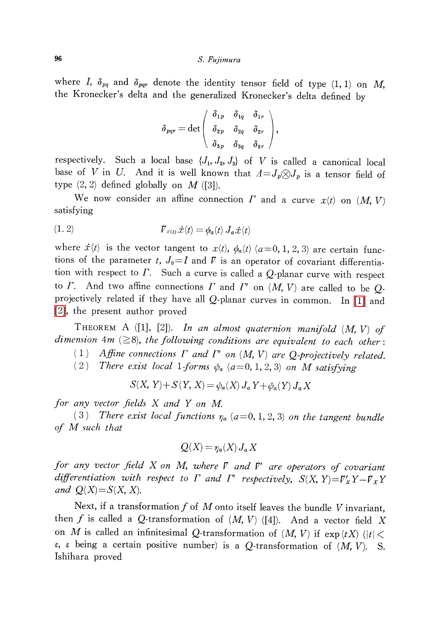#### 96 S. Fujimura

where I,  $\delta_{pq}$  and  $\delta_{pqr}$  denote the identity tensor field of type (1, 1) on M, the Kronecker's delta and the generalized Kronecker's delta defined by

$$
\delta_{pqr}=\det\left(\begin{array}{ccc} \delta_{1\,p} & \delta_{1q} & \delta_{1r} \\[1ex] \delta_{2\,p} & \delta_{2q} & \delta_{2r} \\[1ex] \delta_{3\,p} & \delta_{3q} & \delta_{3r} \end{array}\right),
$$

respectively. Such a local base  $\{J_{1}, J_{2}, J_{3}\}$  of V is called a canonical local base of V in U. And it is well known that  $\Lambda=J_{p}\otimes J_{p}$  is a tensor field of type  $(2, 2)$  defined globally on M ([3]).

We now consider an affine connection  $\Gamma$  and a curve  $x(t)$  on  $(M, V)$ satisfying

(1. 2) \nabla\_{x(t)}\dot{x}(t)=\phi\_{a}(t)]\_{a}jj(t)

where  $\dot{x}(t)$  is the vector tangent to  $x(t)$ ,  $\phi_{a}(t)$  ( $a=0,1,2,3$ ) are certain functions of the parameter t,  $J_{0}=I$  and  $\nabla$  is an operator of covariant differentiation with respect to  $\Gamma$ . Such a curve is called a  $Q$ -planar curve with respect to  $\Gamma$ . And two affine connections  $\Gamma$  and  $\Gamma'$  on  $(M, V)$  are called to be  $Q$ projectively related if they have all Q-planar curves in common. In [\[1\]](#page-7-3) and [\[2\],](#page-7-4) the present author proved

THEOREM A  $([1], [2])$ . In an almost quaternion manifold  $(M, V)$  of dimension  $4m \ (\geq 8)$ , the following conditions are equivalent to each other:

(1) Affine connections  $\Gamma$  and  $\Gamma'$  on  $(M, V)$  are Q-projectively related.

(2) There exist local 1-forms  $\phi_{a}$  (a=0, 1, 2, 3) on M satisfying

$$
S(X, Y) + S(Y, X) = \phi_a(X) J_a Y + \phi_a(Y) J_a X
$$

for any vector fields  $X$  and  $Y$  on  $M$ .

(3) There exist local functions  $\eta_{a}(a=0, 1, 2, 3)$  on the tangent bundle of M such that

$$
Q(X) = \eta_a(X) J_a X
$$

for any vector field  $X$  on  $M$ , where  $\nabla$  and  $\nabla'$  are operators of covariant differentiation with respect to  $\Gamma$  and  $\Gamma'$  respectively,  $S(X, Y)=\Gamma_{X}'Y-\Gamma_{X}Y$ and  $Q(X)=S(X, X)$ .

Next, if a transformation f of M onto itself leaves the bundle V invariant,<br>
f is called a O-transformation of  $(M, V)$  ([4]) and a vector fold N then f is called a Q-transformation of  $(M, V)$  ([4]). And a vector field X<br>on M is called an infinitesimal Q transformation of  $(M, V)$  ([4]). on M is called an infinitesimal Q-transformation of  $(M, V)$  if  $\exp(tX)(|t|<$  $\epsilon,$   $\epsilon$  being a certain positive number) is a Q-transformation of  $(M, V)$ . S. Ishihara proved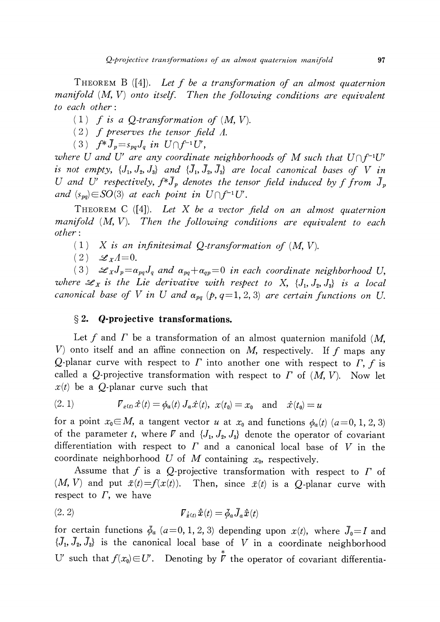THEOREM B ([4]). Let  $f$  be a transformation of an almost quaternion<br>ifold  $(M, V)$  onto itself. Then the following conditions are equivalent manifold  $(M, V)$  onto itself. Then the following conditions are equivalent to each other:

(1) f is a Q-transformation of  $(M, V)$ .<br>(2) f preserves the tensor field A

(2) f preserves the tensor field  $\Lambda$ .<br>(3)  $f * \overline{1} = s \overline{1}$  in  $U \cap f^{-1}U$ 

(3)  $f^{*}\overline{J}_{p}=s_{pq}J_{q}$  in  $U\cap f^{-1}U'$  ,

where U and U' are any coordinate neighborhoods of M such that  $U\cap f^{-1}U'$ is not empty,  $\{J_{1}, J_{2}, J_{3}\}$  and  $\{\overline{J}_{1}, \overline{J}_{2}, \overline{J}_{3}\}$  are local canonical bases of V in U and U' respectively,  $f^{*}\overline{J}_{p}$  denotes the tensor field induced by ffrom  $\overline{J}_{p}$ and  $(s_{pq})\in SO(3)$  at each point in  $U\cap f^{-1}U'$ .

THEOREM C  $([4])$ . Let X be a vector field on an almost quaternion manifold  $(M, V)$ . Then the following conditions are equivalent to each other:

- $(1)$  X is an infinitesimal Q-transformation of  $(M, V)$ .
- $(2) \mathscr{L}_{X}\Lambda=0.$

(3)  $\mathscr{L}_{X}J_{p}=\alpha_{pq}J_{q}$  and  $\alpha_{pq}+\alpha_{qp}=0$  in each coordinate neighborhood U, where  $\mathcal{L}_{X}$  is the Lie derivative with respect to X,  $\{J_{1}, J_{2}, J_{3}\}$  is a local canonical base of V in U and  $\alpha_{pq}$  (p, q=1, 2, 3) are certain functions on U.

## $\S 2.$  Q-projective transformations.

Let f and  $\Gamma$  be a transformation of an almost quaternion manifold (M, V) onto itself and an affine connection on M, respectively. If f maps any  $O$ -planar curve with respect to  $\Gamma$  f is Q-planar curve with respect to  $\varGamma$  into another one with respect to  $\varGamma,$  $f$  is<br>  $f$  let called a Q-projective transformation with respect to  $\Gamma$  of  $(M, V)$ . Now let  $x(t)$  be a Q-planar curve such that

(2. 1) 
$$
\mathcal{V}_{\dot{x}(t)} \dot{x}(t) = \phi_a(t) J_a \dot{x}(t), \ x(t_0) = x_0 \text{ and } \dot{x}(t_0) = u
$$

for a point  $x_{0}\in M$ , a tangent vector u at  $x_{0}$  and functions  $\phi_{a}(t)$  (a=0, 1, 2, 3) of the parameter t, where  $\nabla$  and  $\{J_{1}, J_{2}, J_{3}\}$  denote the operator of covariant differentiation with respect to  $\Gamma$  and a canonical local base of V in the coordinate neighborhood U of M containing  $x_{0}$ , respectively.

Assume that f is a Q-projective transformation with respect to  $\Gamma$  of<br>  $V$  and put  $\bar{\tau}(t) - f(x(t))$ . Then since  $\bar{\tau}(t)$  is a Q planar ourse with  $(M, V)$  and put  $\overline{x}(t)=f(x(t))$ . Then, since  $\overline{x}(t)$  is a Q-planar curve with respect to  $\varGamma,$  we have

$$
\nabla_{\dot{\bar{x}}(t)} \dot{\bar{x}}(t) = \bar{\phi}_a \bar{J}_a \dot{\bar{x}}(t)
$$

for certain functions  $\overline{\phi}_{a}$  (a=0, 1, 2, 3) depending upon  $x(t)$ , where  $\overline{J}_{0}=I$  and  $\{\overline{J}_{1},\overline{J}_{2},\overline{J}_{3}\}$  is the canonical local base of V in a coordinate neighborhood U' such that  $f(x_{0})\in U'$ . Denoting by  $\stackrel{*}{\mathcal{V}}$  the operator of covariant differentia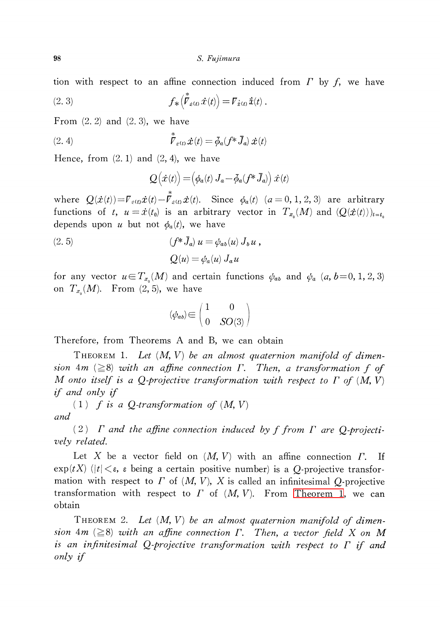tion with respect to an affine connection induced from  $\Gamma$  by  $f$ , we have

(2.3) 
$$
f_{*}(\stackrel{*}{\mathcal{F}}_{\dot{x}(t)}\dot{x}(t)) = \mathcal{F}_{\dot{\bar{x}}(t)}\dot{x}(t).
$$

From  $(2, 2)$  and  $(2, 3)$ , we have

(2.4) 
$$
\stackrel{*}{\mathcal{V}}_{\dot{\alpha}(t)} \dot{\mathcal{X}}(t) = \bar{\phi}_a(f^* \bar{J}_a) \dot{\mathcal{X}}(t)
$$

Hence, from  $(2, 1)$  and  $(2, 4)$ , we have

$$
Q(\dot{x}(t)) = (\phi_a(t) J_a - \bar{\phi}_a(f^* J_a)) \dot{x}(t)
$$

where  $Q(\dot{x}(t)) = \overline{V}_{\dot{x}(t)}\dot{x}(t) - \overline{V}_{\dot{x}(t)}\dot{x}(t)$ . Since  $\phi_{a}(t)(a=0,1,2,3)$  are arbitrary functions of t,  $u=\dot{x}(t_{0})$  is an arbitrary vector in  $T_{x_{0}}(M)$  and  $(Q(\dot{x}(t)))_{t=t_{0}}$ depends upon  $u$  but not  $\phi_{a}(t)$ , we have

(2. 5)  
\n
$$
(f^*\bar{J}_a) u = \phi_{ab}(u) J_b u,
$$
\n
$$
Q(u) = \phi_a(u) J_a u
$$

for any vector  $u\in T_{x_{0}}(M)$  and certain functions  $\phi_{ab}$  and  $\phi_{a}(a, b=0, 1, 2, 3)$ on  $T_{x_{0}}(M)$ . From  $(2, 5)$ , we have

$$
(\psi_{ab})\hspace{-0.5ex}\in\hspace{-0.5ex}\left(\begin{matrix}1&0\\0&SO(3)\end{matrix}\right)
$$

Therefore, from Theorems A and B, we can obtain

<span id="page-3-0"></span>THEOREM 1. Let  $(M, V)$  be an almost quaternion manifold of dimension 4m ( $\geq$ 8) with an affine connection  $\Gamma$ . Then, a transformation f of M onto itself is a O-projective transformation with respect to  $\Gamma$  of  $(M, V)$ M onto itself is a Q-projective transformation with respect to  $\Gamma$  of  $(M, V)$ if and only if

(1)  $\overrightarrow{f}$  is a Q-transformation of  $(M, V)$ and

(2)  $\Gamma$  and the affine connection induced by f from  $\Gamma$  are Q-projectively related.

Let X be a vector field on  $(M, V)$  with an affine connection  $\Gamma$ . If  $\exp(tX)$   $(|t| < \varepsilon$ ,  $\varepsilon$  being a certain positive number) is a *Q*-projective transformation with respect to  $\Gamma$  of  $(M, V)$ ,  $X$  is called an infinitesimal  $Q$ -projective transformation with respect to  $\Gamma$  of  $(M, V)$ . From [Theorem](#page-3-0) 1, we can obtain

<span id="page-3-1"></span>THEOREM 2. Let  $(M, V)$  be an almost quaternion manifold of dimension 4m ( $\geq$ 8) with an affine connection  $\Gamma$ . Then, a vector field X on M is an infinitesimal Q-projective transformation with respect to  $\Gamma$  if and only if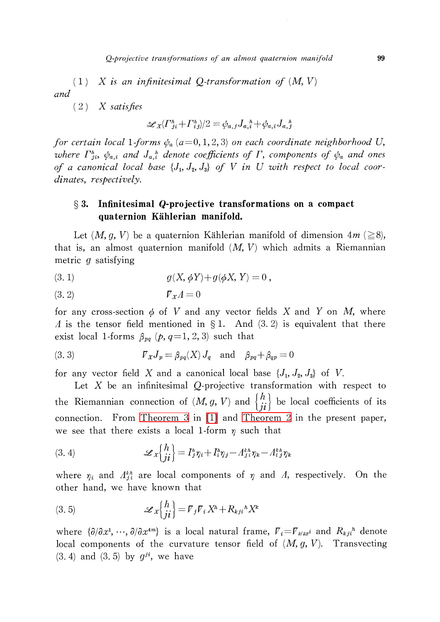(1) X is an infinitesimal Q-transformation of  $(M, V)$ and

 $(2)$  X satisfies

$$
\mathscr{L}_X(\Gamma_{ji}^h+\Gamma_{ij}^h)/2=\phi_{a,\,j}J_{a,\,i}^{\quad \, h}+\phi_{a,\,i}J_{a,\,j}^{\quad \, h}
$$

for certain local 1-forms  $\phi_{a}$  (a=0,1,2,3) on each coordinate neighborhood U, where  $\varGamma_{ji}^{h}$ ,  $\phi_{a,i}$  and  $J_{a,i}$  denote coefficients of  $\varGamma$ , components of  $\phi_{a}$  and ones of a canonical local base  $\{J_{1}, J_{2}, J_{3}\}$  of V in U with respect to local coordinates, respectively.

# $\S 3.$  Infinitesimal Q-projective transformations on a compact quaternion Kählerian manifold.

Let  $(M, g, V)$  be a quaternion Kählerian manifold of dimension  $4m \ (\geq 8)$ , that is, an almost quaternion manifold  $(M, V)$  which admits a Riemannian metric g satisfying

(3. 1) 
$$
g(X, \phi Y) + g(\phi X, Y) = 0,
$$

$$
(3.2) \t\t\t\t \t\t\t \mathcal{V}_X A = 0
$$

for any cross-section  $\phi$  of V and any vector fields X and Y on M, where  $\Lambda$  is the tensor field mentioned in  $\S 1$ . And (3. 2) is equivalent that there exist local 1-forms  $\beta_{pq}(p, q=1,2,3)$  such that

(3. 3) 
$$
\qquad \qquad \mathcal{V}_X J_p = \beta_{pq}(X) J_q \quad \text{and} \quad \beta_{pq} + \beta_{qp} = 0
$$

for any vector field X and a canonical local base  $\{J_{1}, J_{2}, J_{3}\}$  of V.

Let X be an infinitesimal Q-projective transformation with respect to the Riemannian connection of  $(M, g, V)$  and  $\{\begin{matrix}h\\it\end{matrix}\}$  be local coefficients of its connection. From [Theorem](#page-5-0) 3 in [\[1\]](#page-7-3) and [Theorem](#page-3-1) 2 in the present paper, we see that there exists a local 1-form  $\eta$  such that

(3. 4) 
$$
\mathscr{L}_X\begin{pmatrix}h\\j i\end{pmatrix}=I_j^{\iota}\eta_i+I_{i}^{\iota}\eta_j-A_{j\ i}^{\iota\iota}\eta_k-A_{i\ j}^{\iota\iota}\eta_k
$$

where  $\eta_{i}$  and  $\Lambda_{j}^{kh}$  are local components of  $\eta$  and  $\Lambda$ , respectively. On the other hand, we have known that

(3.5) 
$$
\mathscr{L}_X\begin{Bmatrix}h\\ji\end{Bmatrix} = \mathcal{V}_j \mathcal{V}_i X^h + R_{kji}{}^h X^k
$$

where  $\{\partial/\partial x^{1}, \dots, \partial/\partial x^{4m}\}$  is a local natural frame,  $\overline{V}_{i}=\overline{V}_{\partial/\partial x^{i}}$  and  $R_{kji}^{h}$  denote local components of the curvature tensor field of  $(M, g, V)$ . Transvecting  $(3.4)$  and  $(3.5)$  by  $g^{ji}$ , we have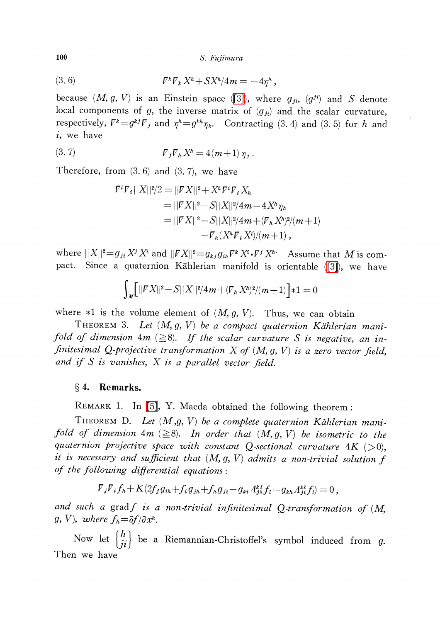100 S. Fujimura

(3. 6) \nabla^{k}\nabla\_{k}X^{h}+SX^{h}/4m=-4\eta h ,

because  $(M, g, V)$  is an Einstein space [\(\[3\]\)](#page-7-5), where  $g_{ji}$ ,  $(g^{ji})$  and S denote local components of g, the inverse matrix of  $(g_{ji})$  and the scalar curvature, respectively,  $\nabla^{k}=g^{kj}\nabla_{j}$  and  $\eta^{h}=g^{kh}\eta_{k}.$  Contracting  $(3. \ 4)$  and  $(3. \ 5)$  for  $h$  and i, we have

(3. 7) 
$$
\qquad \qquad \mathcal{V}_j \mathcal{V}_h X^h = 4(m+1) \, \eta_j \, .
$$

Therefore, from (3. 6) and (3. 7), we have

$$
\begin{aligned} \n\mathcal{F}^i \mathcal{F}_i ||X||^2 / 2 &= ||\mathcal{F} X||^2 + X^h \mathcal{F}^i \mathcal{F}_i X_h \\ \n&= ||\mathcal{F} X||^2 - S||X||^2 / 4m - 4X^h \eta_h \\ \n&= ||\mathcal{F} X||^2 - S||X||^2 / 4m + (\mathcal{F}_h X^h)^2 / (m+1) \\ \n&\quad - \mathcal{F}_h (X^h \mathcal{F}_i X^i) / (m+1) \,, \n\end{aligned}
$$

where  $||X||^{2}=g_{ji} X^{j} X^{i}$  and  $||\overline{V}X||^{2}=g_{kj}g_{ih}\overline{V}^{k}X^{i}\cdot\overline{V}^{j}X^{h}$ . Assume that M is com-pact. Since a quaternion Kählerian manifold is orientable [\(\[3\]\)](#page-7-5), we have

$$
\int_{M} [||\mathbf{V}X||^{2} - S||X||^{2}/4m + (\mathbf{V}_{h}X^{h})^{2}/(m+1)]*1 = 0
$$

where  $*1$  is the volume element of  $(M, g, V)$ . Thus, we can obtain

<span id="page-5-0"></span>THEOREM 3. Let  $(M, g, V)$  be a compact quaternion Kählerian manifold of dimension  $4m$  ( $\geq$ 8). If the scalar curvature S is negative, an infinitesimal Q-projective transformation  $X$  of  $(M, g, V)$  is a zero vector field, and if  $S$  is vanishes,  $X$  is a parallel vector field.

### $\S 4.$  Remarks.

REMARK 1. ln [\[5\],](#page-7-6) Y. Maeda obtained the following theorem :

THEOREM D. Let  $(M, g, V)$  be a complete quaternion Kählerian manifold of dimension  $4m \ (\geq 8)$ . In order that  $(M, g, V)$  be isometric to the quaternion projective space with constant Q-sectional curvature  $4K$  ( $>0$ ), it is necessary and sufficient that  $(M, g, V)$  admits a non-trivial solution  $f$ of the following differential equations:

$$
\nabla_j \nabla_i f_h + K(2f_j g_{ih} + f_i g_{jh} + f_h g_{ji} - g_{ki} A_{jh}^{kl} f_l - g_{kh} A_{ji}^{kl} f_l) = 0,
$$

and such a gradf is a non-trivial infinitesimal Q-transformation of  $(M,$  $g, V$ ), where  $f_{h} = \partial f/\partial x^{h}$ .

Now let  $\{\begin{matrix}h\\ii\end{matrix}\}$  be a Riemannian-Christoffel's symbol induced from g. Then we have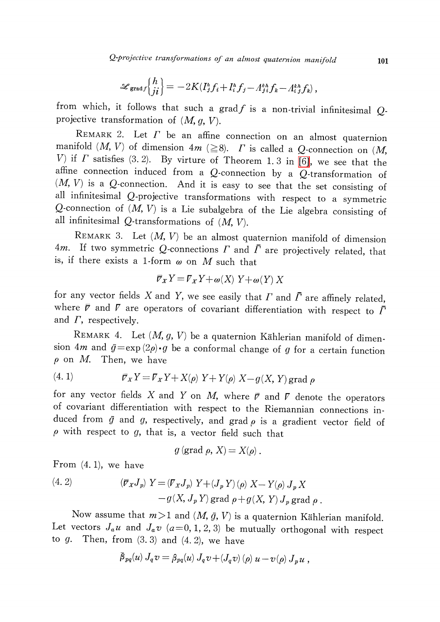Q-projective transformations of an almost quaternion manifold 101

$$
\mathscr{L}_{\text{grad} f}\left\{\begin{matrix}h\\ji\end{matrix}\right\} = -2K(I_j^{\hbar}f_i + I_i^{\hbar}f_j - A_j^{\hbar\hbar}f_k - A_i^{\hbar\hbar}f_k),
$$

from which, it follows that such a grad $f$  is a non-trivial infinitesimal  $Q$ projective transformation of  $(M, g, V)$ .

REMARK 2. Let  $\Gamma$  be an affine connection on an almost quaternion manifold  $(M, V)$  of dimension  $4m \ (\geq 8)$ .  $\Gamma$  is called a Q-connection on  $(M, V)$ V) if  $\Gamma$  satisfies (3. 2). By virture of Theorem 1. 3 in [\[6\],](#page-7-0) we see that the affine connection induced from a  $Q$ -connection by a  $Q$ -transformation of  $(M, V)$  is a Q-connection. And it is easy to see that the set consisting of all infinitesimal Q-projective transformations with respect to <sup>a</sup> symmetric Q-connection of  $(M, V)$  is a Lie subalgebra of the Lie algebra consisting of all infinitesimal  $Q$ -transformations of  $(M, V)$ .

REMARK 3. Let  $(M, V)$  be an almost quaternion manifold of dimension 4m. If two symmetric Q-connections  $\Gamma$  and  $\overline{\Gamma}$  are projectively related, that is, if there exists a 1-form  $\omega$  on  $M$  such that

$$
\overline{\mathcal{V}}_X Y = \mathcal{V}_X Y + \omega(X) Y + \omega(Y) X
$$

for any vector fields X and Y, we see easily that  $\Gamma$  and  $\overline{\Gamma}$  are affinely related, where  $\overline{r}$  and  $\overline{r}$  are operators of covariant differentiation with respect to  $\overline{\Gamma}$ and  $\varGamma,$  respectively.

REMARK 4. Let  $(M, g, V)$  be a quaternion Kählerian manifold of dimension 4m and  $\overline{g}=\exp(2\rho)\cdot g$  be a conformal change of g for a certain function  $\rho$  on M. Then, we have

(4. 1) 
$$
\overline{\mathcal{V}}_X Y = \mathcal{V}_X Y + X(\rho) Y + Y(\rho) X - g(X, Y) \text{grad } \rho
$$

for any vector fields X and Y on M, where  $\overline{p}$  and  $\overline{V}$  denote the operators of covariant differentiation with respect to the Riemannian connections induced from  $\overline{g}$  and  $g$ , respectively, and grad  $\rho$  is a gradient vector field of  $\rho$  with respect to  $g$ , that is, a vector field such that

$$
g \left( \text{grad } \rho, X \right) = X(\rho) .
$$

From (4. 1), we have

(4. 2) 
$$
\langle \overline{\mathcal{F}}_X J_p \rangle Y = \langle \mathcal{F}_X J_p \rangle Y + \langle J_p Y \rangle \langle \rho \rangle X - Y \langle \rho \rangle J_p X -g(X, J_p Y) \text{ grad } \rho + g(X, Y) J_p \text{ grad } \rho .
$$

Now assume that  $m>1$  and  $(M,\bar{g}, V)$  is a quaternion Kählerian manifold. Let vectors  $J_{a}u$  and  $J_{a}v$  ( $a=0,1,2,3$ ) be mutually orthogonal with respect to  $g$ . Then, from  $(3.3)$  and  $(4.2)$ , we have

$$
\bar{\beta}_{pq}(u) J_q v = \beta_{pq}(u) J_q v + (J_q v) (p) u - v(p) J_p u,
$$